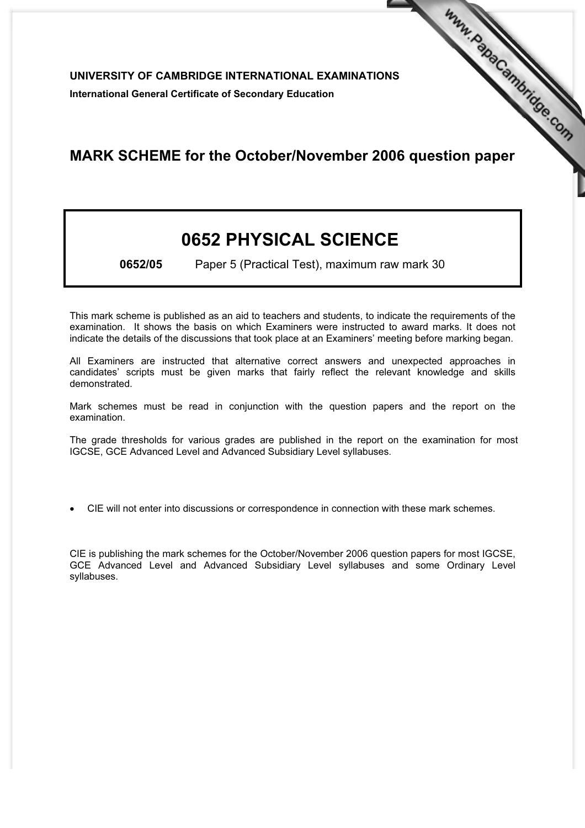UNIVERSITY OF CAMBRIDGE INTERNATIONAL EXAMINATIONS International General Certificate of Secondary Education

## MARK SCHEME for the October/November 2006 question paper **www.PapaCambridge.com**

## 0652 PHYSICAL SCIENCE

0652/05 Paper 5 (Practical Test), maximum raw mark 30

This mark scheme is published as an aid to teachers and students, to indicate the requirements of the examination. It shows the basis on which Examiners were instructed to award marks. It does not indicate the details of the discussions that took place at an Examiners' meeting before marking began.

All Examiners are instructed that alternative correct answers and unexpected approaches in candidates' scripts must be given marks that fairly reflect the relevant knowledge and skills demonstrated.

Mark schemes must be read in conjunction with the question papers and the report on the examination.

The grade thresholds for various grades are published in the report on the examination for most IGCSE, GCE Advanced Level and Advanced Subsidiary Level syllabuses.

*•* CIE will not enter into discussions or correspondence in connection with these mark schemes.

CIE is publishing the mark schemes for the October/November 2006 question papers for most IGCSE, GCE Advanced Level and Advanced Subsidiary Level syllabuses and some Ordinary Level syllabuses.